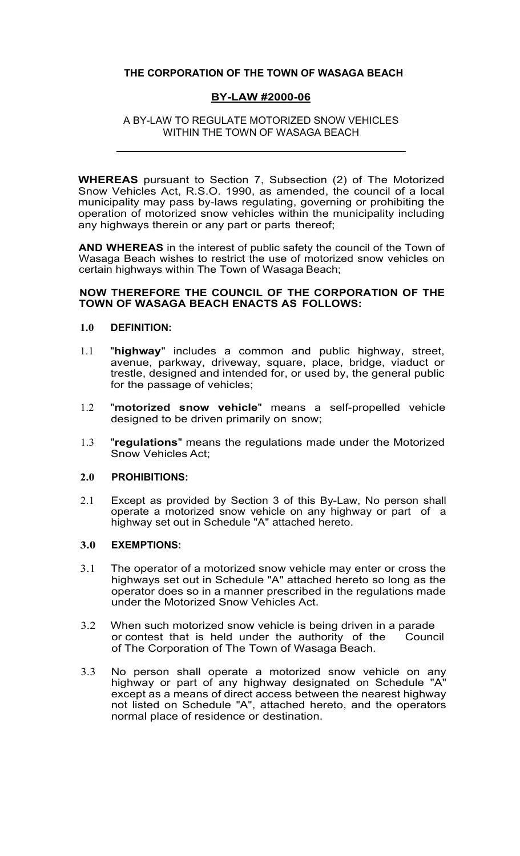# **THE CORPORATION OF THE TOWN OF WASAGA BEACH**

## **BY-LAW #2000-06**

A BY-LAW TO REGULATE MOTORIZED SNOW VEHICLES WITHIN THE TOWN OF WASAGA BEACH

**WHEREAS** pursuant to Section 7, Subsection (2) of The Motorized Snow Vehicles Act, R.S.O. 1990, as amended, the council of a local municipality may pass by-laws regulating, governing or prohibiting the operation of motorized snow vehicles within the municipality including any highways therein or any part or parts thereof;

**AND WHEREAS** in the interest of public safety the council of the Town of Wasaga Beach wishes to restrict the use of motorized snow vehicles on certain highways within The Town of Wasaga Beach;

#### **NOW THEREFORE THE COUNCIL OF THE CORPORATION OF THE TOWN OF WASAGA BEACH ENACTS AS FOLLOWS:**

#### **1.0 DEFINITION:**

- 1.1 "**highway**" includes a common and public highway, street, avenue, parkway, driveway, square, place, bridge, viaduct or trestle, designed and intended for, or used by, the general public for the passage of vehicles;
- 1.2 "**motorized snow vehicle**" means a self-propelled vehicle designed to be driven primarily on snow;
- 1.3 "**regulations**" means the regulations made under the Motorized Snow Vehicles Act;

#### **2.0 PROHIBITIONS:**

2.1 Except as provided by Section 3 of this By-Law, No person shall operate a motorized snow vehicle on any highway or part of a highway set out in Schedule "A" attached hereto.

#### **3.0 EXEMPTIONS:**

- 3.1 The operator of a motorized snow vehicle may enter or cross the highways set out in Schedule "A" attached hereto so long as the operator does so in a manner prescribed in the regulations made under the Motorized Snow Vehicles Act.
- 3.2 When such motorized snow vehicle is being driven in a parade<br>or contest that is held under the authority of the Council or contest that is held under the authority of the of The Corporation of The Town of Wasaga Beach.
- 3.3 No person shall operate a motorized snow vehicle on any highway or part of any highway designated on Schedule "A" except as a means of direct access between the nearest highway not listed on Schedule "A", attached hereto, and the operators normal place of residence or destination.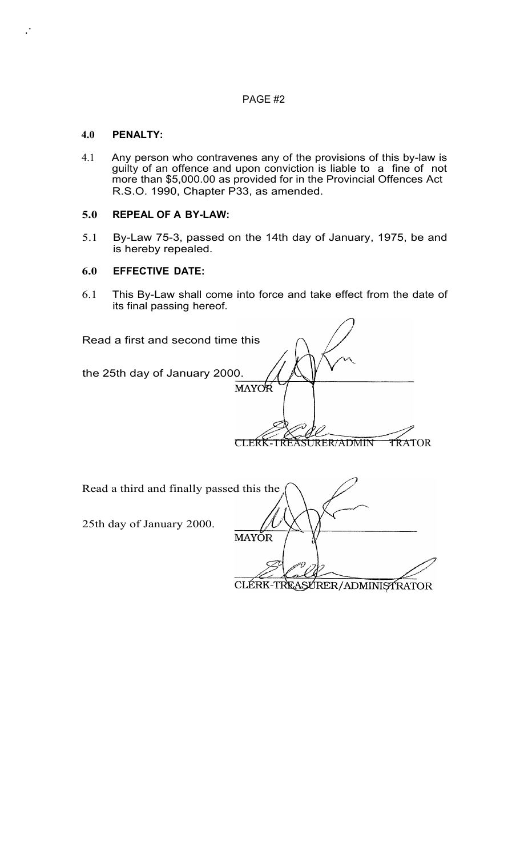# PAGE #2

# **4.0 PENALTY:**

.·

4.1 Any person who contravenes any of the provisions of this by-law is guilty of an offence and upon conviction is liable to a fine of not more than \$5,000.00 as provided for in the Provincial Offences Act R.S.O. 1990, Chapter P33, as amended.

# **5.0 REPEAL OF A BY-LAW:**

5.1 By-Law 75-3, passed on the 14th day of January, 1975, be and is hereby repealed.

# **6.0 EFFECTIVE DATE:**

6.1 This By-Law shall come into force and take effect from the date of its final passing hereof.

| Read a first and second time this |       |
|-----------------------------------|-------|
|                                   |       |
| the 25th day of January 2000.     | MAYOR |
|                                   |       |
|                                   |       |
|                                   |       |

| Read a third and finally passed this the |                               |
|------------------------------------------|-------------------------------|
| 25th day of January 2000.                | <b>MAYÓR</b>                  |
|                                          | CLÉRK-TREASURER/ADMINISTRATOR |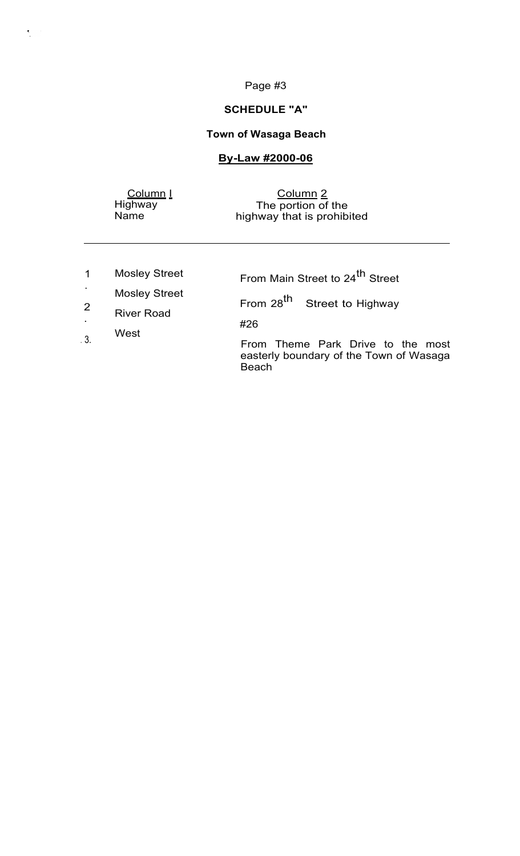# Page #3

#### **SCHEDULE "A"**

# **Town of Wasaga Beach**

# **By-Law #2000-06**

<u>Column I</u> Highway Name

 $\frac{1}{2}$  ,  $\frac{1}{2}$ 

Column 2 The portion of the highway that is prohibited

1 . 2 . . 3. Mosley Street Mosley Street River Road West From Main Street to 24<sup>th</sup> Street From 28<sup>th</sup> Street to Highway #26 From Theme Park Drive to the most easterly boundary of the Town of Wasaga

Beach